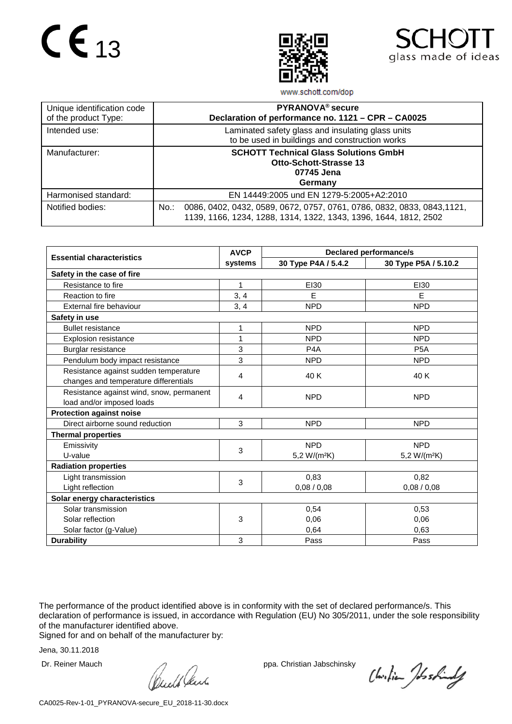



www.schott.com/dop

| Unique identification code<br>of the product Type: | PYRANOVA <sup>®</sup> secure<br>Declaration of performance no. 1121 - CPR - CA0025                                                                     |
|----------------------------------------------------|--------------------------------------------------------------------------------------------------------------------------------------------------------|
| Intended use:                                      | Laminated safety glass and insulating glass units<br>to be used in buildings and construction works                                                    |
| Manufacturer:                                      | <b>SCHOTT Technical Glass Solutions GmbH</b><br><b>Otto-Schott-Strasse 13</b><br>07745 Jena<br>Germany                                                 |
| Harmonised standard:                               | EN 14449:2005 und EN 1279-5:2005+A2:2010                                                                                                               |
| Notified bodies:                                   | 0086, 0402, 0432, 0589, 0672, 0757, 0761, 0786, 0832, 0833, 0843, 1121,<br>$No.$ :<br>1139, 1166, 1234, 1288, 1314, 1322, 1343, 1396, 1644, 1812, 2502 |

|                                          | <b>AVCP</b> | <b>Declared performance/s</b> |                          |  |  |  |
|------------------------------------------|-------------|-------------------------------|--------------------------|--|--|--|
| <b>Essential characteristics</b>         | systems     | 30 Type P4A / 5.4.2           | 30 Type P5A / 5.10.2     |  |  |  |
| Safety in the case of fire               |             |                               |                          |  |  |  |
| Resistance to fire                       | 1           | EI30                          | EI30                     |  |  |  |
| Reaction to fire                         | 3, 4        | E                             | E                        |  |  |  |
| External fire behaviour                  | 3, 4        | <b>NPD</b>                    | <b>NPD</b>               |  |  |  |
| Safety in use                            |             |                               |                          |  |  |  |
| <b>Bullet resistance</b>                 | 1           | <b>NPD</b>                    | <b>NPD</b>               |  |  |  |
| <b>Explosion resistance</b>              | 1           | <b>NPD</b>                    | <b>NPD</b>               |  |  |  |
| Burglar resistance                       | 3           | P <sub>4</sub> A              | P <sub>5</sub> A         |  |  |  |
| Pendulum body impact resistance          | 3           | <b>NPD</b>                    | <b>NPD</b>               |  |  |  |
| Resistance against sudden temperature    | 4           | 40 K                          | 40 K                     |  |  |  |
| changes and temperature differentials    |             |                               |                          |  |  |  |
| Resistance against wind, snow, permanent | 4           | <b>NPD</b>                    | <b>NPD</b>               |  |  |  |
| load and/or imposed loads                |             |                               |                          |  |  |  |
| <b>Protection against noise</b>          |             |                               |                          |  |  |  |
| Direct airborne sound reduction          | 3           | <b>NPD</b>                    | <b>NPD</b>               |  |  |  |
| <b>Thermal properties</b>                |             |                               |                          |  |  |  |
| Emissivity                               | 3           | <b>NPD</b>                    | <b>NPD</b>               |  |  |  |
| U-value                                  |             | 5,2 W/(m <sup>2</sup> K)      | 5,2 W/(m <sup>2</sup> K) |  |  |  |
| <b>Radiation properties</b>              |             |                               |                          |  |  |  |
| Light transmission                       | 3           | 0,83                          | 0,82                     |  |  |  |
| Light reflection                         |             | 0,08/0,08                     | 0,08/0,08                |  |  |  |
| Solar energy characteristics             |             |                               |                          |  |  |  |
| Solar transmission                       |             | 0,54                          | 0,53                     |  |  |  |
| Solar reflection                         | 3           | 0,06                          | 0.06                     |  |  |  |
| Solar factor (g-Value)                   |             | 0,64                          | 0,63                     |  |  |  |
| <b>Durability</b>                        | 3           | Pass                          | Pass                     |  |  |  |

The performance of the product identified above is in conformity with the set of declared performance/s. This declaration of performance is issued, in accordance with Regulation (EU) No 305/2011, under the sole responsibility of the manufacturer identified above.

Signed for and on behalf of the manufacturer by:

Dr. Reiner Mauch ppa. Christian Jabschinsky<br>
ppa. Christian Jabschinsky<br>
ppa. Christian Jabschinsky

Christian Joshindy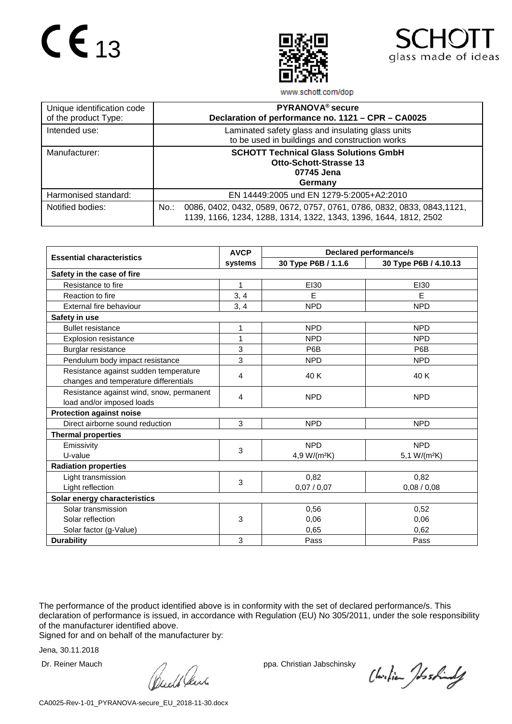



www.schott.com/dop

| Unique identification code<br>of the product Type: | PYRANOVA <sup>®</sup> secure<br>Declaration of performance no. 1121 - CPR - CA0025                                                                     |
|----------------------------------------------------|--------------------------------------------------------------------------------------------------------------------------------------------------------|
| Intended use:                                      | Laminated safety glass and insulating glass units<br>to be used in buildings and construction works                                                    |
| Manufacturer:                                      | <b>SCHOTT Technical Glass Solutions GmbH</b><br><b>Otto-Schott-Strasse 13</b><br>07745 Jena<br>Germany                                                 |
| Harmonised standard:                               | EN 14449:2005 und EN 1279-5:2005+A2:2010                                                                                                               |
| Notified bodies:                                   | 0086, 0402, 0432, 0589, 0672, 0757, 0761, 0786, 0832, 0833, 0843, 1121,<br>$No.$ :<br>1139, 1166, 1234, 1288, 1314, 1322, 1343, 1396, 1644, 1812, 2502 |

|                                          | <b>AVCP</b> | <b>Declared performance/s</b> |                       |  |  |
|------------------------------------------|-------------|-------------------------------|-----------------------|--|--|
| <b>Essential characteristics</b>         | systems     | 30 Type P6B / 1.1.6           | 30 Type P6B / 4.10.13 |  |  |
| Safety in the case of fire               |             |                               |                       |  |  |
| Resistance to fire                       | 1           | EI30                          | EI30                  |  |  |
| Reaction to fire                         | 3, 4        | E                             | E                     |  |  |
| External fire behaviour                  | 3, 4        | <b>NPD</b>                    | <b>NPD</b>            |  |  |
| Safety in use                            |             |                               |                       |  |  |
| <b>Bullet resistance</b>                 | 1           | <b>NPD</b>                    | <b>NPD</b>            |  |  |
| <b>Explosion resistance</b>              | 1           | <b>NPD</b>                    | <b>NPD</b>            |  |  |
| Burglar resistance                       | 3           | P <sub>6</sub> B              | P6B                   |  |  |
| Pendulum body impact resistance          | 3           | <b>NPD</b>                    | <b>NPD</b>            |  |  |
| Resistance against sudden temperature    | 4           | 40 K                          |                       |  |  |
| changes and temperature differentials    |             |                               | 40 K                  |  |  |
| Resistance against wind, snow, permanent | 4           | <b>NPD</b>                    | <b>NPD</b>            |  |  |
| load and/or imposed loads                |             |                               |                       |  |  |
| <b>Protection against noise</b>          |             |                               |                       |  |  |
| Direct airborne sound reduction          | 3           | <b>NPD</b>                    | <b>NPD</b>            |  |  |
| <b>Thermal properties</b>                |             |                               |                       |  |  |
| Emissivity                               | 3           | <b>NPD</b>                    | <b>NPD</b>            |  |  |
| U-value                                  |             | 4,9 W/(m <sup>2</sup> K)      | 5,1 $W/(m^2K)$        |  |  |
| <b>Radiation properties</b>              |             |                               |                       |  |  |
| Light transmission                       | 3           | 0,82                          | 0,82                  |  |  |
| Light reflection                         |             | 0,07/0,07                     | 0,08/0,08             |  |  |
| Solar energy characteristics             |             |                               |                       |  |  |
| Solar transmission                       |             | 0,56                          | 0,52                  |  |  |
| Solar reflection                         | 3           | 0,06                          | 0,06                  |  |  |
| Solar factor (g-Value)                   |             | 0,65                          | 0,62                  |  |  |
| <b>Durability</b>                        | 3           | Pass                          | Pass                  |  |  |

The performance of the product identified above is in conformity with the set of declared performance/s. This declaration of performance is issued, in accordance with Regulation (EU) No 305/2011, under the sole responsibility of the manufacturer identified above.

Signed for and on behalf of the manufacturer by:

Dr. Reiner Mauch ppa. Christian Jabschinsky<br>
ppa. Christian Jabschinsky<br>
ppa. Christian Jabschinsky

Christian Joshindy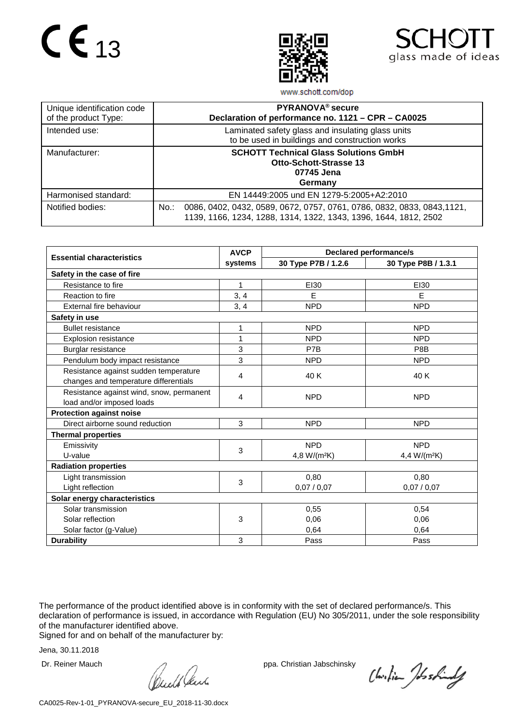



www.schott.com/dop

| Unique identification code<br>of the product Type: | PYRANOVA <sup>®</sup> secure<br>Declaration of performance no. 1121 - CPR - CA0025                                                                     |
|----------------------------------------------------|--------------------------------------------------------------------------------------------------------------------------------------------------------|
| Intended use:                                      | Laminated safety glass and insulating glass units<br>to be used in buildings and construction works                                                    |
| Manufacturer:                                      | <b>SCHOTT Technical Glass Solutions GmbH</b><br><b>Otto-Schott-Strasse 13</b><br>07745 Jena<br>Germany                                                 |
| Harmonised standard:                               | EN 14449:2005 und EN 1279-5:2005+A2:2010                                                                                                               |
| Notified bodies:                                   | 0086, 0402, 0432, 0589, 0672, 0757, 0761, 0786, 0832, 0833, 0843, 1121,<br>$No.$ :<br>1139, 1166, 1234, 1288, 1314, 1322, 1343, 1396, 1644, 1812, 2502 |

|                                          | <b>AVCP</b> | <b>Declared performance/s</b> |                          |  |  |  |
|------------------------------------------|-------------|-------------------------------|--------------------------|--|--|--|
| <b>Essential characteristics</b>         | systems     | 30 Type P7B / 1.2.6           | 30 Type P8B / 1.3.1      |  |  |  |
| Safety in the case of fire               |             |                               |                          |  |  |  |
| Resistance to fire                       | 1           | EI30                          | EI30                     |  |  |  |
| Reaction to fire                         | 3, 4        | E                             | E                        |  |  |  |
| External fire behaviour                  | 3, 4        | <b>NPD</b>                    | <b>NPD</b>               |  |  |  |
| Safety in use                            |             |                               |                          |  |  |  |
| <b>Bullet resistance</b>                 | 1           | <b>NPD</b>                    | <b>NPD</b>               |  |  |  |
| <b>Explosion resistance</b>              | 1           | <b>NPD</b>                    | <b>NPD</b>               |  |  |  |
| Burglar resistance                       | 3           | P7B                           | P8B                      |  |  |  |
| Pendulum body impact resistance          | 3           | <b>NPD</b>                    | <b>NPD</b>               |  |  |  |
| Resistance against sudden temperature    | 4           | 40 K                          | 40 K                     |  |  |  |
| changes and temperature differentials    |             |                               |                          |  |  |  |
| Resistance against wind, snow, permanent | 4           | <b>NPD</b>                    | <b>NPD</b>               |  |  |  |
| load and/or imposed loads                |             |                               |                          |  |  |  |
| <b>Protection against noise</b>          |             |                               |                          |  |  |  |
| Direct airborne sound reduction          | 3           | <b>NPD</b>                    | <b>NPD</b>               |  |  |  |
| <b>Thermal properties</b>                |             |                               |                          |  |  |  |
| Emissivity                               | 3           | <b>NPD</b>                    | <b>NPD</b>               |  |  |  |
| U-value                                  |             | 4,8 W/(m <sup>2</sup> K)      | 4,4 W/(m <sup>2</sup> K) |  |  |  |
| <b>Radiation properties</b>              |             |                               |                          |  |  |  |
| Light transmission                       | 3           | 0,80                          | 0,80                     |  |  |  |
| Light reflection                         |             | 0,07/0,07                     | 0,07/0,07                |  |  |  |
| Solar energy characteristics             |             |                               |                          |  |  |  |
| Solar transmission                       |             | 0,55                          | 0,54                     |  |  |  |
| Solar reflection                         | 3           | 0,06                          | 0.06                     |  |  |  |
| Solar factor (g-Value)                   |             | 0,64                          | 0,64                     |  |  |  |
| <b>Durability</b>                        | 3           | Pass                          | Pass                     |  |  |  |

The performance of the product identified above is in conformity with the set of declared performance/s. This declaration of performance is issued, in accordance with Regulation (EU) No 305/2011, under the sole responsibility of the manufacturer identified above.

Signed for and on behalf of the manufacturer by:

Dr. Reiner Mauch ppa. Christian Jabschinsky<br>
ppa. Christian Jabschinsky<br>
ppa. Christian Jabschinsky

Christian Joshindy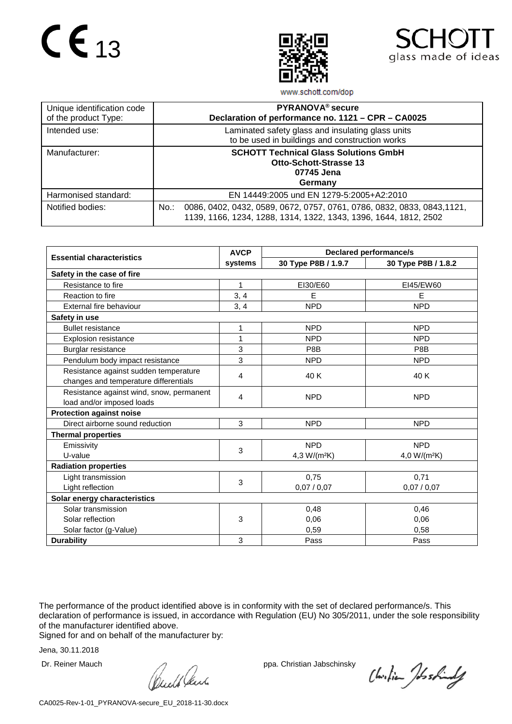



www.schott.com/dop

| Unique identification code<br>of the product Type: | PYRANOVA <sup>®</sup> secure<br>Declaration of performance no. 1121 - CPR - CA0025                                                                     |
|----------------------------------------------------|--------------------------------------------------------------------------------------------------------------------------------------------------------|
| Intended use:                                      | Laminated safety glass and insulating glass units<br>to be used in buildings and construction works                                                    |
| Manufacturer:                                      | <b>SCHOTT Technical Glass Solutions GmbH</b><br><b>Otto-Schott-Strasse 13</b><br>07745 Jena<br>Germany                                                 |
| Harmonised standard:                               | EN 14449:2005 und EN 1279-5:2005+A2:2010                                                                                                               |
| Notified bodies:                                   | 0086, 0402, 0432, 0589, 0672, 0757, 0761, 0786, 0832, 0833, 0843, 1121,<br>$No.$ :<br>1139, 1166, 1234, 1288, 1314, 1322, 1343, 1396, 1644, 1812, 2502 |

|                                          | <b>AVCP</b> | <b>Declared performance/s</b> |                          |  |  |
|------------------------------------------|-------------|-------------------------------|--------------------------|--|--|
| <b>Essential characteristics</b>         | systems     | 30 Type P8B / 1.9.7           | 30 Type P8B / 1.8.2      |  |  |
| Safety in the case of fire               |             |                               |                          |  |  |
| Resistance to fire                       | 1           | EI30/E60                      | EI45/EW60                |  |  |
| Reaction to fire                         | 3, 4        | E                             | E                        |  |  |
| External fire behaviour                  | 3, 4        | <b>NPD</b>                    | <b>NPD</b>               |  |  |
| Safety in use                            |             |                               |                          |  |  |
| <b>Bullet resistance</b>                 | 1           | <b>NPD</b>                    | <b>NPD</b>               |  |  |
| <b>Explosion resistance</b>              | 1           | <b>NPD</b>                    | <b>NPD</b>               |  |  |
| Burglar resistance                       | 3           | P8B                           | P8B                      |  |  |
| Pendulum body impact resistance          | 3           | <b>NPD</b>                    | <b>NPD</b>               |  |  |
| Resistance against sudden temperature    | 4           | 40 K                          | 40 K                     |  |  |
| changes and temperature differentials    |             |                               |                          |  |  |
| Resistance against wind, snow, permanent | 4           | <b>NPD</b>                    | <b>NPD</b>               |  |  |
| load and/or imposed loads                |             |                               |                          |  |  |
| <b>Protection against noise</b>          |             |                               |                          |  |  |
| Direct airborne sound reduction          | 3           | <b>NPD</b>                    | <b>NPD</b>               |  |  |
| <b>Thermal properties</b>                |             |                               |                          |  |  |
| Emissivity                               | 3           | <b>NPD</b>                    | <b>NPD</b>               |  |  |
| U-value                                  |             | 4,3 W/(m <sup>2</sup> K)      | 4,0 W/(m <sup>2</sup> K) |  |  |
| <b>Radiation properties</b>              |             |                               |                          |  |  |
| Light transmission                       | 3           | 0,75                          | 0,71                     |  |  |
| Light reflection                         |             | 0,07/0,07                     | 0,07/0,07                |  |  |
| Solar energy characteristics             |             |                               |                          |  |  |
| Solar transmission                       |             | 0,48                          | 0,46                     |  |  |
| Solar reflection                         | 3           | 0,06                          | 0.06                     |  |  |
| Solar factor (g-Value)                   |             | 0.59                          | 0,58                     |  |  |
| <b>Durability</b>                        | 3           | Pass                          | Pass                     |  |  |

The performance of the product identified above is in conformity with the set of declared performance/s. This declaration of performance is issued, in accordance with Regulation (EU) No 305/2011, under the sole responsibility of the manufacturer identified above.

Signed for and on behalf of the manufacturer by:

Dr. Reiner Mauch ppa. Christian Jabschinsky<br>
ppa. Christian Jabschinsky<br>
ppa. Christian Jabschinsky

Christian Joshindy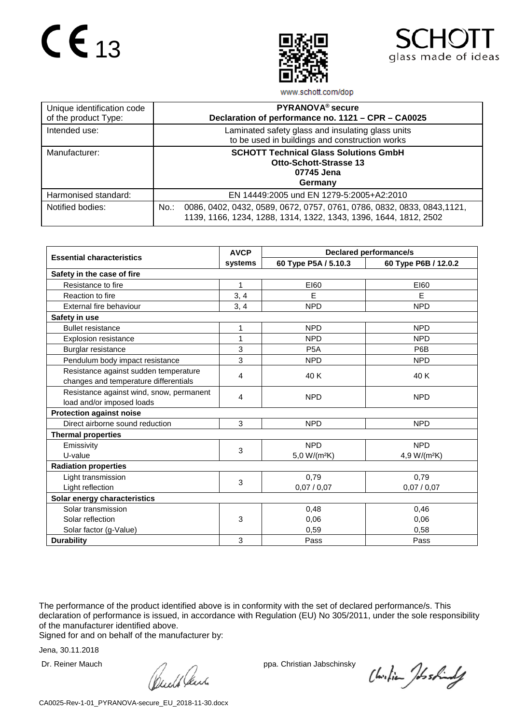



www.schott.com/dop

| Unique identification code<br>of the product Type: | PYRANOVA <sup>®</sup> secure<br>Declaration of performance no. 1121 - CPR - CA0025                                                                  |
|----------------------------------------------------|-----------------------------------------------------------------------------------------------------------------------------------------------------|
| Intended use:                                      | Laminated safety glass and insulating glass units<br>to be used in buildings and construction works                                                 |
| Manufacturer:                                      | <b>SCHOTT Technical Glass Solutions GmbH</b><br><b>Otto-Schott-Strasse 13</b><br>07745 Jena<br>Germany                                              |
| Harmonised standard:                               | EN 14449:2005 und EN 1279-5:2005+A2:2010                                                                                                            |
| Notified bodies:                                   | No.:<br>0086, 0402, 0432, 0589, 0672, 0757, 0761, 0786, 0832, 0833, 0843, 1121,<br>1139, 1166, 1234, 1288, 1314, 1322, 1343, 1396, 1644, 1812, 2502 |

|                                          | <b>AVCP</b> | <b>Declared performance/s</b> |                          |
|------------------------------------------|-------------|-------------------------------|--------------------------|
| <b>Essential characteristics</b>         | systems     | 60 Type P5A / 5.10.3          | 60 Type P6B / 12.0.2     |
| Safety in the case of fire               |             |                               |                          |
| Resistance to fire                       | 1           | E160                          | E160                     |
| Reaction to fire                         | 3, 4        | E                             | E                        |
| External fire behaviour                  | 3, 4        | <b>NPD</b>                    | <b>NPD</b>               |
| Safety in use                            |             |                               |                          |
| <b>Bullet resistance</b>                 | 1           | <b>NPD</b>                    | <b>NPD</b>               |
| <b>Explosion resistance</b>              | 1           | <b>NPD</b>                    | <b>NPD</b>               |
| Burglar resistance                       | 3           | P <sub>5</sub> A              | P6B                      |
| Pendulum body impact resistance          | 3           | <b>NPD</b>                    | <b>NPD</b>               |
| Resistance against sudden temperature    | 4           | 40 K                          | 40 K                     |
| changes and temperature differentials    |             |                               |                          |
| Resistance against wind, snow, permanent | 4           | <b>NPD</b>                    | <b>NPD</b>               |
| load and/or imposed loads                |             |                               |                          |
| <b>Protection against noise</b>          |             |                               |                          |
| Direct airborne sound reduction          | 3           | <b>NPD</b>                    | <b>NPD</b>               |
| <b>Thermal properties</b>                |             |                               |                          |
| Emissivity                               | 3           | <b>NPD</b>                    | <b>NPD</b>               |
| U-value                                  |             | 5,0 W/(m <sup>2</sup> K)      | 4,9 W/(m <sup>2</sup> K) |
| <b>Radiation properties</b>              |             |                               |                          |
| Light transmission                       | 3           | 0,79                          | 0,79                     |
| Light reflection                         |             | 0,07/0,07                     | 0,07/0,07                |
| Solar energy characteristics             |             |                               |                          |
| Solar transmission                       |             | 0,48                          | 0,46                     |
| Solar reflection                         | 3           | 0,06                          | 0,06                     |
| Solar factor (g-Value)                   |             | 0,59                          | 0,58                     |
| <b>Durability</b>                        | 3           | Pass                          | Pass                     |

The performance of the product identified above is in conformity with the set of declared performance/s. This declaration of performance is issued, in accordance with Regulation (EU) No 305/2011, under the sole responsibility of the manufacturer identified above.

Signed for and on behalf of the manufacturer by:

Dr. Reiner Mauch ppa. Christian Jabschinsky<br>
ppa. Christian Jabschinsky<br>
ppa. Christian Jabschinsky

Christian Joshindy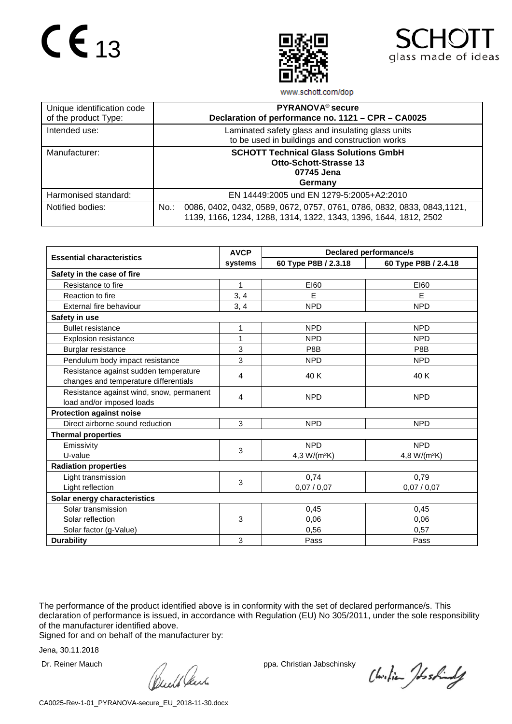



www.schott.com/dop

| Unique identification code<br>of the product Type: | PYRANOVA <sup>®</sup> secure<br>Declaration of performance no. 1121 - CPR - CA0025                                                                  |
|----------------------------------------------------|-----------------------------------------------------------------------------------------------------------------------------------------------------|
| Intended use:                                      | Laminated safety glass and insulating glass units<br>to be used in buildings and construction works                                                 |
| Manufacturer:                                      | <b>SCHOTT Technical Glass Solutions GmbH</b><br><b>Otto-Schott-Strasse 13</b><br>07745 Jena<br>Germany                                              |
| Harmonised standard:                               | EN 14449:2005 und EN 1279-5:2005+A2:2010                                                                                                            |
| Notified bodies:                                   | No.:<br>0086, 0402, 0432, 0589, 0672, 0757, 0761, 0786, 0832, 0833, 0843, 1121,<br>1139, 1166, 1234, 1288, 1314, 1322, 1343, 1396, 1644, 1812, 2502 |

|                                          | <b>AVCP</b> | <b>Declared performance/s</b> |                          |  |  |  |
|------------------------------------------|-------------|-------------------------------|--------------------------|--|--|--|
| <b>Essential characteristics</b>         | systems     | 60 Type P8B / 2.3.18          | 60 Type P8B / 2.4.18     |  |  |  |
| Safety in the case of fire               |             |                               |                          |  |  |  |
| Resistance to fire                       | 1           | E160                          | E160                     |  |  |  |
| Reaction to fire                         | 3, 4        | E                             | E                        |  |  |  |
| External fire behaviour                  | 3, 4        | <b>NPD</b>                    | <b>NPD</b>               |  |  |  |
| Safety in use                            |             |                               |                          |  |  |  |
| <b>Bullet resistance</b>                 | 1           | <b>NPD</b>                    | <b>NPD</b>               |  |  |  |
| <b>Explosion resistance</b>              | 1           | <b>NPD</b>                    | <b>NPD</b>               |  |  |  |
| Burglar resistance                       | 3           | P8B                           | P8B                      |  |  |  |
| Pendulum body impact resistance          | 3           | <b>NPD</b>                    | <b>NPD</b>               |  |  |  |
| Resistance against sudden temperature    | 4           | 40 K                          | 40 K                     |  |  |  |
| changes and temperature differentials    |             |                               |                          |  |  |  |
| Resistance against wind, snow, permanent | 4           | <b>NPD</b>                    | <b>NPD</b>               |  |  |  |
| load and/or imposed loads                |             |                               |                          |  |  |  |
| <b>Protection against noise</b>          |             |                               |                          |  |  |  |
| Direct airborne sound reduction          | 3           | <b>NPD</b>                    | <b>NPD</b>               |  |  |  |
| <b>Thermal properties</b>                |             |                               |                          |  |  |  |
| Emissivity                               | 3           | <b>NPD</b>                    | <b>NPD</b>               |  |  |  |
| U-value                                  |             | 4,3 W/(m <sup>2</sup> K)      | 4,8 W/(m <sup>2</sup> K) |  |  |  |
| <b>Radiation properties</b>              |             |                               |                          |  |  |  |
| Light transmission                       | 3           | 0,74                          | 0,79                     |  |  |  |
| Light reflection                         |             | 0,07/0,07                     | 0,07/0,07                |  |  |  |
| Solar energy characteristics             |             |                               |                          |  |  |  |
| Solar transmission                       |             | 0,45                          | 0,45                     |  |  |  |
| Solar reflection                         | 3           | 0,06                          | 0.06                     |  |  |  |
| Solar factor (g-Value)                   |             | 0,56                          | 0,57                     |  |  |  |
| <b>Durability</b>                        | 3           | Pass                          | Pass                     |  |  |  |

The performance of the product identified above is in conformity with the set of declared performance/s. This declaration of performance is issued, in accordance with Regulation (EU) No 305/2011, under the sole responsibility of the manufacturer identified above.

Signed for and on behalf of the manufacturer by:

Dr. Reiner Mauch ppa. Christian Jabschinsky<br>
ppa. Christian Jabschinsky<br>
ppa. Christian Jabschinsky

Christian Joshindy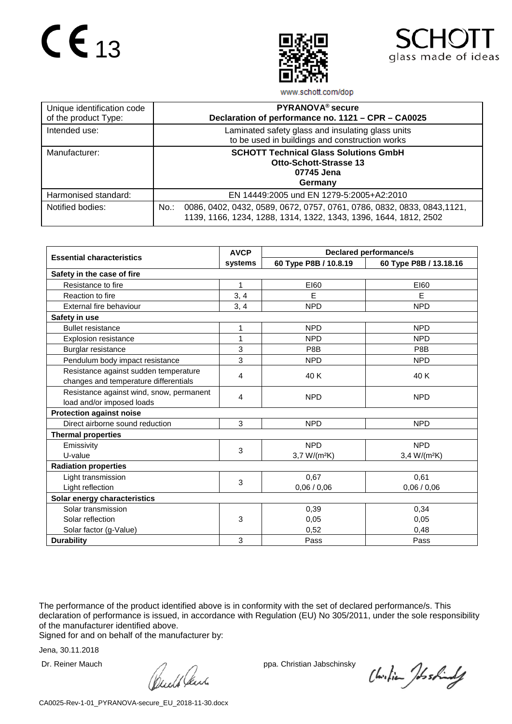



www.schott.com/dop

| Unique identification code<br>of the product Type: | PYRANOVA <sup>®</sup> secure<br>Declaration of performance no. 1121 - CPR - CA0025                                                                     |
|----------------------------------------------------|--------------------------------------------------------------------------------------------------------------------------------------------------------|
| Intended use:                                      | Laminated safety glass and insulating glass units<br>to be used in buildings and construction works                                                    |
| Manufacturer:                                      | <b>SCHOTT Technical Glass Solutions GmbH</b><br><b>Otto-Schott-Strasse 13</b><br>07745 Jena<br>Germany                                                 |
| Harmonised standard:                               | EN 14449:2005 und EN 1279-5:2005+A2:2010                                                                                                               |
| Notified bodies:                                   | 0086, 0402, 0432, 0589, 0672, 0757, 0761, 0786, 0832, 0833, 0843, 1121,<br>$No.$ :<br>1139, 1166, 1234, 1288, 1314, 1322, 1343, 1396, 1644, 1812, 2502 |

|                                          | <b>AVCP</b> | <b>Declared performance/s</b> |                          |  |  |
|------------------------------------------|-------------|-------------------------------|--------------------------|--|--|
| <b>Essential characteristics</b>         | systems     | 60 Type P8B / 10.8.19         | 60 Type P8B / 13.18.16   |  |  |
| Safety in the case of fire               |             |                               |                          |  |  |
| Resistance to fire                       | 1           | E160                          | E160                     |  |  |
| Reaction to fire                         | 3, 4        | E                             | E                        |  |  |
| External fire behaviour                  | 3, 4        | <b>NPD</b>                    | <b>NPD</b>               |  |  |
| Safety in use                            |             |                               |                          |  |  |
| <b>Bullet resistance</b>                 | 1           | <b>NPD</b>                    | <b>NPD</b>               |  |  |
| <b>Explosion resistance</b>              | 1           | <b>NPD</b>                    | <b>NPD</b>               |  |  |
| Burglar resistance                       | 3           | P8B                           | P8B                      |  |  |
| Pendulum body impact resistance          | 3           | <b>NPD</b>                    | <b>NPD</b>               |  |  |
| Resistance against sudden temperature    | 4           | 40 K                          | 40 K                     |  |  |
| changes and temperature differentials    |             |                               |                          |  |  |
| Resistance against wind, snow, permanent | 4           | <b>NPD</b>                    | <b>NPD</b>               |  |  |
| load and/or imposed loads                |             |                               |                          |  |  |
| <b>Protection against noise</b>          |             |                               |                          |  |  |
| Direct airborne sound reduction          | 3           | <b>NPD</b>                    | <b>NPD</b>               |  |  |
| <b>Thermal properties</b>                |             |                               |                          |  |  |
| Emissivity                               | 3           | <b>NPD</b>                    | <b>NPD</b>               |  |  |
| U-value                                  |             | $3,7 W/(m^2K)$                | 3,4 W/(m <sup>2</sup> K) |  |  |
| <b>Radiation properties</b>              |             |                               |                          |  |  |
| Light transmission                       | 3           | 0,67                          | 0,61                     |  |  |
| Light reflection                         |             | 0,06/0,06                     | 0,06/0,06                |  |  |
| Solar energy characteristics             |             |                               |                          |  |  |
| Solar transmission                       |             | 0,39                          | 0,34                     |  |  |
| Solar reflection                         | 3           | 0,05                          | 0.05                     |  |  |
| Solar factor (g-Value)                   |             | 0,52                          | 0,48                     |  |  |
| <b>Durability</b>                        | 3           | Pass                          | Pass                     |  |  |

The performance of the product identified above is in conformity with the set of declared performance/s. This declaration of performance is issued, in accordance with Regulation (EU) No 305/2011, under the sole responsibility of the manufacturer identified above.

Signed for and on behalf of the manufacturer by:

Dr. Reiner Mauch ppa. Christian Jabschinsky<br>
ppa. Christian Jabschinsky<br>
ppa. Christian Jabschinsky

Christian Joshindy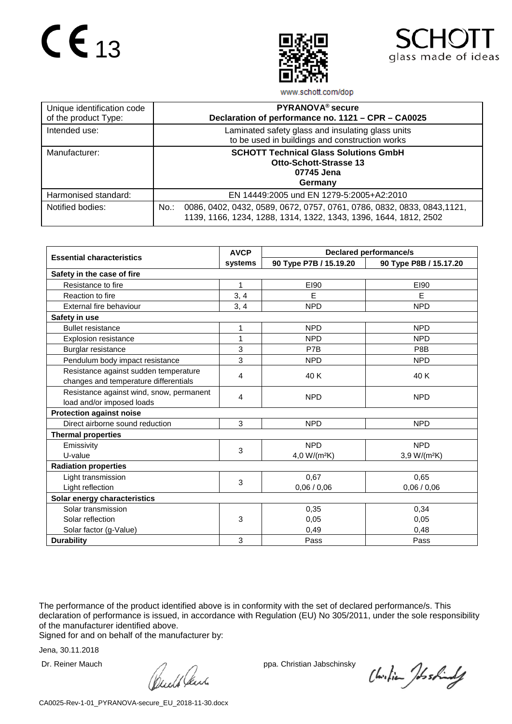



www.schott.com/dop

| Unique identification code<br>of the product Type: | PYRANOVA <sup>®</sup> secure<br>Declaration of performance no. 1121 - CPR - CA0025                                                                  |
|----------------------------------------------------|-----------------------------------------------------------------------------------------------------------------------------------------------------|
| Intended use:                                      | Laminated safety glass and insulating glass units<br>to be used in buildings and construction works                                                 |
| Manufacturer:                                      | <b>SCHOTT Technical Glass Solutions GmbH</b><br><b>Otto-Schott-Strasse 13</b><br>07745 Jena<br>Germany                                              |
| Harmonised standard:                               | EN 14449:2005 und EN 1279-5:2005+A2:2010                                                                                                            |
| Notified bodies:                                   | No.:<br>0086, 0402, 0432, 0589, 0672, 0757, 0761, 0786, 0832, 0833, 0843, 1121,<br>1139, 1166, 1234, 1288, 1314, 1322, 1343, 1396, 1644, 1812, 2502 |

|                                          | <b>AVCP</b> | <b>Declared performance/s</b> |                          |  |  |
|------------------------------------------|-------------|-------------------------------|--------------------------|--|--|
| <b>Essential characteristics</b>         | systems     | 90 Type P7B / 15.19.20        | 90 Type P8B / 15.17.20   |  |  |
| Safety in the case of fire               |             |                               |                          |  |  |
| Resistance to fire                       | 1           | E190                          | E190                     |  |  |
| Reaction to fire                         | 3, 4        | E                             | E                        |  |  |
| External fire behaviour                  | 3, 4        | <b>NPD</b>                    | <b>NPD</b>               |  |  |
| Safety in use                            |             |                               |                          |  |  |
| <b>Bullet resistance</b>                 | 1           | <b>NPD</b>                    | <b>NPD</b>               |  |  |
| <b>Explosion resistance</b>              | 1           | <b>NPD</b>                    | <b>NPD</b>               |  |  |
| Burglar resistance                       | 3           | P7B                           | P8B                      |  |  |
| Pendulum body impact resistance          | 3           | <b>NPD</b>                    | <b>NPD</b>               |  |  |
| Resistance against sudden temperature    | 4           | 40 K                          | 40 K                     |  |  |
| changes and temperature differentials    |             |                               |                          |  |  |
| Resistance against wind, snow, permanent | 4           | <b>NPD</b>                    | <b>NPD</b>               |  |  |
| load and/or imposed loads                |             |                               |                          |  |  |
| <b>Protection against noise</b>          |             |                               |                          |  |  |
| Direct airborne sound reduction          | 3           | <b>NPD</b>                    | <b>NPD</b>               |  |  |
| <b>Thermal properties</b>                |             |                               |                          |  |  |
| Emissivity                               | 3           | <b>NPD</b>                    | <b>NPD</b>               |  |  |
| U-value                                  |             | 4,0 W/( $m^2K$ )              | 3,9 W/(m <sup>2</sup> K) |  |  |
| <b>Radiation properties</b>              |             |                               |                          |  |  |
| Light transmission                       | 3           | 0,67                          | 0,65                     |  |  |
| Light reflection                         |             | 0,06/0,06                     | 0,06/0,06                |  |  |
| Solar energy characteristics             |             |                               |                          |  |  |
| Solar transmission                       |             | 0,35                          | 0,34                     |  |  |
| Solar reflection                         | 3           | 0,05                          | 0.05                     |  |  |
| Solar factor (g-Value)                   |             | 0,49                          | 0,48                     |  |  |
| <b>Durability</b>                        | 3           | Pass                          | Pass                     |  |  |

The performance of the product identified above is in conformity with the set of declared performance/s. This declaration of performance is issued, in accordance with Regulation (EU) No 305/2011, under the sole responsibility of the manufacturer identified above.

Signed for and on behalf of the manufacturer by:

Dr. Reiner Mauch ppa. Christian Jabschinsky<br>
ppa. Christian Jabschinsky<br>
ppa. Christian Jabschinsky

Christian Joshindy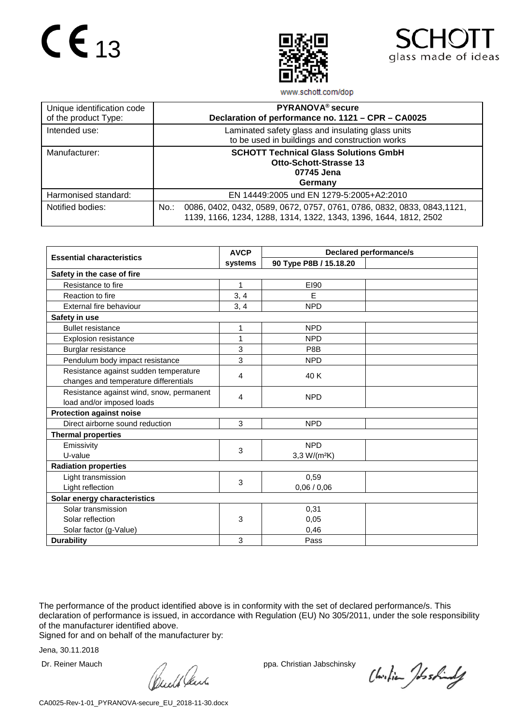



www.schott.com/dop

| Unique identification code<br>of the product Type: | PYRANOVA <sup>®</sup> secure<br>Declaration of performance no. 1121 - CPR - CA0025                                                                     |
|----------------------------------------------------|--------------------------------------------------------------------------------------------------------------------------------------------------------|
| Intended use:                                      | Laminated safety glass and insulating glass units<br>to be used in buildings and construction works                                                    |
| Manufacturer:                                      | <b>SCHOTT Technical Glass Solutions GmbH</b><br><b>Otto-Schott-Strasse 13</b><br>07745 Jena<br>Germany                                                 |
| Harmonised standard:                               | EN 14449:2005 und EN 1279-5:2005+A2:2010                                                                                                               |
| Notified bodies:                                   | 0086, 0402, 0432, 0589, 0672, 0757, 0761, 0786, 0832, 0833, 0843, 1121,<br>$No.$ :<br>1139, 1166, 1234, 1288, 1314, 1322, 1343, 1396, 1644, 1812, 2502 |

|                                          | <b>AVCP</b> | <b>Declared performance/s</b> |  |  |
|------------------------------------------|-------------|-------------------------------|--|--|
| <b>Essential characteristics</b>         | systems     | 90 Type P8B / 15.18.20        |  |  |
| Safety in the case of fire               |             |                               |  |  |
| Resistance to fire                       | 1           | E190                          |  |  |
| Reaction to fire                         | 3, 4        | E                             |  |  |
| External fire behaviour                  | 3, 4        | <b>NPD</b>                    |  |  |
| Safety in use                            |             |                               |  |  |
| <b>Bullet resistance</b>                 | 1           | <b>NPD</b>                    |  |  |
| <b>Explosion resistance</b>              | 1           | <b>NPD</b>                    |  |  |
| Burglar resistance                       | 3           | P8B                           |  |  |
| Pendulum body impact resistance          | 3           | <b>NPD</b>                    |  |  |
| Resistance against sudden temperature    | 4           | 40 K                          |  |  |
| changes and temperature differentials    |             |                               |  |  |
| Resistance against wind, snow, permanent | 4           | <b>NPD</b>                    |  |  |
| load and/or imposed loads                |             |                               |  |  |
| <b>Protection against noise</b>          |             |                               |  |  |
| Direct airborne sound reduction          | 3           | <b>NPD</b>                    |  |  |
| <b>Thermal properties</b>                |             |                               |  |  |
| Emissivity                               | 3           | <b>NPD</b>                    |  |  |
| U-value                                  |             | 3,3 W/(m <sup>2</sup> K)      |  |  |
| <b>Radiation properties</b>              |             |                               |  |  |
| Light transmission                       | 3           | 0,59                          |  |  |
| Light reflection                         |             | 0,06/0,06                     |  |  |
| Solar energy characteristics             |             |                               |  |  |
| Solar transmission                       |             | 0,31                          |  |  |
| Solar reflection                         | 3           | 0,05                          |  |  |
| Solar factor (g-Value)                   |             | 0,46                          |  |  |
| <b>Durability</b>                        | 3           | Pass                          |  |  |

The performance of the product identified above is in conformity with the set of declared performance/s. This declaration of performance is issued, in accordance with Regulation (EU) No 305/2011, under the sole responsibility of the manufacturer identified above.

Signed for and on behalf of the manufacturer by:

Dr. Reiner Mauch ppa. Christian Jabschinsky<br>
ppa. Christian Jabschinsky<br>
ppa. Christian Jabschinsky

Christian Joshindy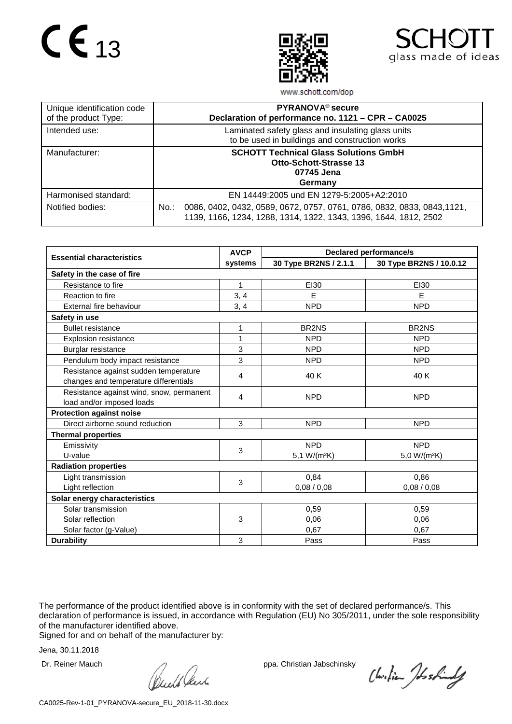



www.schott.com/dop

| Unique identification code<br>of the product Type: | PYRANOVA <sup>®</sup> secure<br>Declaration of performance no. 1121 - CPR - CA0025                                                                     |
|----------------------------------------------------|--------------------------------------------------------------------------------------------------------------------------------------------------------|
| Intended use:                                      | Laminated safety glass and insulating glass units<br>to be used in buildings and construction works                                                    |
| Manufacturer:                                      | <b>SCHOTT Technical Glass Solutions GmbH</b><br><b>Otto-Schott-Strasse 13</b><br>07745 Jena<br>Germany                                                 |
| Harmonised standard:                               | EN 14449:2005 und EN 1279-5:2005+A2:2010                                                                                                               |
| Notified bodies:                                   | 0086, 0402, 0432, 0589, 0672, 0757, 0761, 0786, 0832, 0833, 0843, 1121,<br>$No.$ :<br>1139, 1166, 1234, 1288, 1314, 1322, 1343, 1396, 1644, 1812, 2502 |

|                                          | <b>AVCP</b> | <b>Declared performance/s</b> |                          |  |  |
|------------------------------------------|-------------|-------------------------------|--------------------------|--|--|
| <b>Essential characteristics</b>         | systems     | 30 Type BR2NS / 2.1.1         | 30 Type BR2NS / 10.0.12  |  |  |
| Safety in the case of fire               |             |                               |                          |  |  |
| Resistance to fire                       | 1           | EI30                          | EI30                     |  |  |
| Reaction to fire                         | 3, 4        | E                             | E                        |  |  |
| External fire behaviour                  | 3, 4        | <b>NPD</b>                    | <b>NPD</b>               |  |  |
| Safety in use                            |             |                               |                          |  |  |
| <b>Bullet resistance</b>                 | 1           | BR2NS                         | BR <sub>2NS</sub>        |  |  |
| <b>Explosion resistance</b>              | 1           | <b>NPD</b>                    | <b>NPD</b>               |  |  |
| Burglar resistance                       | 3           | <b>NPD</b>                    | <b>NPD</b>               |  |  |
| Pendulum body impact resistance          | 3           | <b>NPD</b>                    | <b>NPD</b>               |  |  |
| Resistance against sudden temperature    | 4           | 40 K                          | 40 K                     |  |  |
| changes and temperature differentials    |             |                               |                          |  |  |
| Resistance against wind, snow, permanent | 4           | <b>NPD</b>                    | <b>NPD</b>               |  |  |
| load and/or imposed loads                |             |                               |                          |  |  |
| <b>Protection against noise</b>          |             |                               |                          |  |  |
| Direct airborne sound reduction          | 3           | <b>NPD</b>                    | <b>NPD</b>               |  |  |
| <b>Thermal properties</b>                |             |                               |                          |  |  |
| Emissivity                               | 3           | <b>NPD</b>                    | <b>NPD</b>               |  |  |
| U-value                                  |             | 5,1 W/(m <sup>2</sup> K)      | 5,0 W/(m <sup>2</sup> K) |  |  |
| <b>Radiation properties</b>              |             |                               |                          |  |  |
| Light transmission                       | 3           | 0,84                          | 0,86                     |  |  |
| Light reflection                         |             | 0,08/0,08                     | 0,08/0,08                |  |  |
| Solar energy characteristics             |             |                               |                          |  |  |
| Solar transmission                       |             | 0,59                          | 0,59                     |  |  |
| Solar reflection                         | 3           | 0,06                          | 0.06                     |  |  |
| Solar factor (g-Value)                   |             | 0.67                          | 0.67                     |  |  |
| <b>Durability</b>                        | 3           | Pass                          | Pass                     |  |  |

The performance of the product identified above is in conformity with the set of declared performance/s. This declaration of performance is issued, in accordance with Regulation (EU) No 305/2011, under the sole responsibility of the manufacturer identified above.

Signed for and on behalf of the manufacturer by:

Dr. Reiner Mauch ppa. Christian Jabschinsky<br>
ppa. Christian Jabschinsky<br>
ppa. Christian Jabschinsky

Christian Joshindy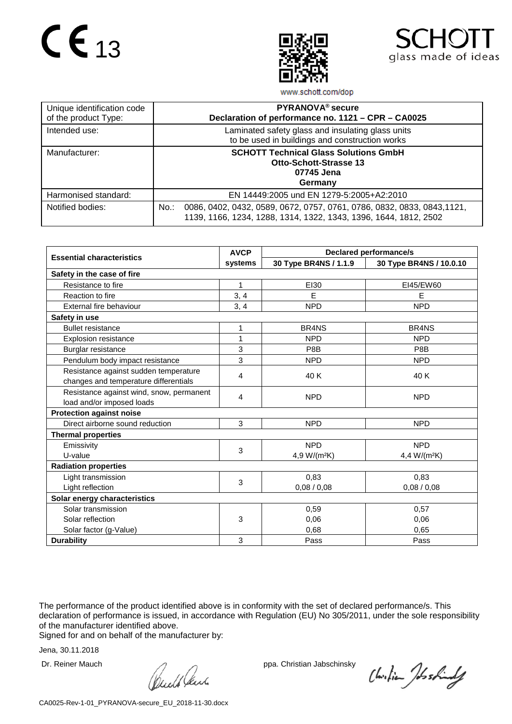



www.schott.com/dop

| Unique identification code<br>of the product Type: | PYRANOVA <sup>®</sup> secure<br>Declaration of performance no. 1121 - CPR - CA0025                                                                     |
|----------------------------------------------------|--------------------------------------------------------------------------------------------------------------------------------------------------------|
| Intended use:                                      | Laminated safety glass and insulating glass units<br>to be used in buildings and construction works                                                    |
| Manufacturer:                                      | <b>SCHOTT Technical Glass Solutions GmbH</b><br><b>Otto-Schott-Strasse 13</b><br>07745 Jena<br>Germany                                                 |
| Harmonised standard:                               | EN 14449:2005 und EN 1279-5:2005+A2:2010                                                                                                               |
| Notified bodies:                                   | 0086, 0402, 0432, 0589, 0672, 0757, 0761, 0786, 0832, 0833, 0843, 1121,<br>$No.$ :<br>1139, 1166, 1234, 1288, 1314, 1322, 1343, 1396, 1644, 1812, 2502 |

|                                          | <b>AVCP</b> | <b>Declared performance/s</b>  |                                |  |  |
|------------------------------------------|-------------|--------------------------------|--------------------------------|--|--|
| <b>Essential characteristics</b>         | systems     | 30 Type BR4NS / 1.1.9          | 30 Type BR4NS / 10.0.10        |  |  |
| Safety in the case of fire               |             |                                |                                |  |  |
| Resistance to fire                       | 1           | EI30                           | EI45/EW60                      |  |  |
| Reaction to fire                         | 3, 4        | E                              | E                              |  |  |
| External fire behaviour                  | 3, 4        | <b>NPD</b>                     | <b>NPD</b>                     |  |  |
| Safety in use                            |             |                                |                                |  |  |
| <b>Bullet resistance</b>                 | 1           | BR <sub>4</sub> N <sub>S</sub> | BR <sub>4</sub> N <sub>S</sub> |  |  |
| <b>Explosion resistance</b>              | 1           | <b>NPD</b>                     | <b>NPD</b>                     |  |  |
| Burglar resistance                       | 3           | P8B                            | P8B                            |  |  |
| Pendulum body impact resistance          | 3           | <b>NPD</b>                     | <b>NPD</b>                     |  |  |
| Resistance against sudden temperature    | 4           | 40 K                           | 40 K                           |  |  |
| changes and temperature differentials    |             |                                |                                |  |  |
| Resistance against wind, snow, permanent | 4           | <b>NPD</b>                     | <b>NPD</b>                     |  |  |
| load and/or imposed loads                |             |                                |                                |  |  |
| <b>Protection against noise</b>          |             |                                |                                |  |  |
| Direct airborne sound reduction          | 3           | <b>NPD</b>                     | <b>NPD</b>                     |  |  |
| <b>Thermal properties</b>                |             |                                |                                |  |  |
| Emissivity                               | 3           | <b>NPD</b>                     | <b>NPD</b>                     |  |  |
| U-value                                  |             | 4,9 W/(m <sup>2</sup> K)       | 4,4 W/(m <sup>2</sup> K)       |  |  |
| <b>Radiation properties</b>              |             |                                |                                |  |  |
| Light transmission                       | 3           | 0,83                           | 0,83                           |  |  |
| Light reflection                         |             | 0,08/0,08                      | 0,08/0,08                      |  |  |
| Solar energy characteristics             |             |                                |                                |  |  |
| Solar transmission                       |             | 0,59                           | 0,57                           |  |  |
| Solar reflection                         | 3           | 0,06                           | 0.06                           |  |  |
| Solar factor (g-Value)                   |             | 0.68                           | 0,65                           |  |  |
| <b>Durability</b>                        | 3           | Pass                           | Pass                           |  |  |

The performance of the product identified above is in conformity with the set of declared performance/s. This declaration of performance is issued, in accordance with Regulation (EU) No 305/2011, under the sole responsibility of the manufacturer identified above.

Signed for and on behalf of the manufacturer by:

Dr. Reiner Mauch ppa. Christian Jabschinsky<br>
ppa. Christian Jabschinsky<br>
ppa. Christian Jabschinsky

Christian Joshindy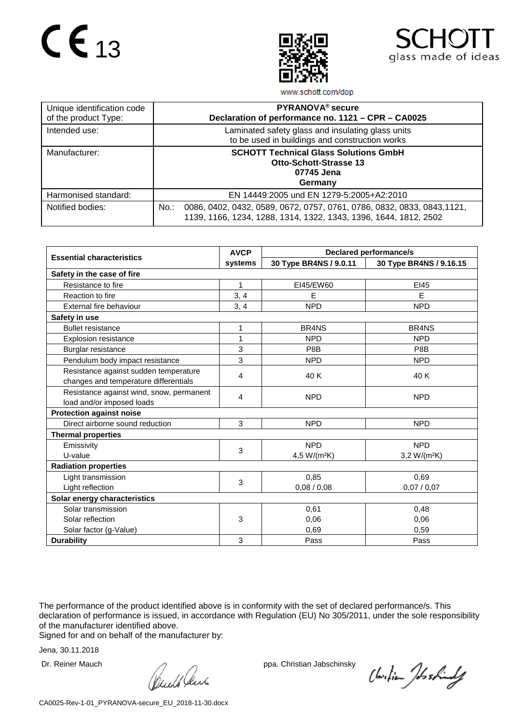



www.schott.com/dop

| Unique identification code<br>of the product Type: | PYRANOVA <sup>®</sup> secure<br>Declaration of performance no. 1121 - CPR - CA0025                                                                  |
|----------------------------------------------------|-----------------------------------------------------------------------------------------------------------------------------------------------------|
| Intended use:                                      | Laminated safety glass and insulating glass units<br>to be used in buildings and construction works                                                 |
| Manufacturer:                                      | <b>SCHOTT Technical Glass Solutions GmbH</b><br><b>Otto-Schott-Strasse 13</b><br>07745 Jena<br>Germany                                              |
| Harmonised standard:                               | EN 14449:2005 und EN 1279-5:2005+A2:2010                                                                                                            |
| Notified bodies:                                   | No.:<br>0086, 0402, 0432, 0589, 0672, 0757, 0761, 0786, 0832, 0833, 0843, 1121,<br>1139, 1166, 1234, 1288, 1314, 1322, 1343, 1396, 1644, 1812, 2502 |

|                                          | <b>AVCP</b> | <b>Declared performance/s</b>  |                                |  |  |
|------------------------------------------|-------------|--------------------------------|--------------------------------|--|--|
| <b>Essential characteristics</b>         | systems     | 30 Type BR4NS / 9.0.11         | 30 Type BR4NS / 9.16.15        |  |  |
| Safety in the case of fire               |             |                                |                                |  |  |
| Resistance to fire                       | 1           | EI45/EW60                      | EI45                           |  |  |
| Reaction to fire                         | 3, 4        | Е                              | E                              |  |  |
| External fire behaviour                  | 3, 4        | <b>NPD</b>                     | <b>NPD</b>                     |  |  |
| Safety in use                            |             |                                |                                |  |  |
| <b>Bullet resistance</b>                 | 1           | BR <sub>4</sub> N <sub>S</sub> | BR <sub>4</sub> N <sub>S</sub> |  |  |
| <b>Explosion resistance</b>              | 1           | <b>NPD</b>                     | <b>NPD</b>                     |  |  |
| Burglar resistance                       | 3           | P8B                            | P8B                            |  |  |
| Pendulum body impact resistance          | 3           | <b>NPD</b>                     | <b>NPD</b>                     |  |  |
| Resistance against sudden temperature    | 4           | 40 K                           | 40 K                           |  |  |
| changes and temperature differentials    |             |                                |                                |  |  |
| Resistance against wind, snow, permanent | 4           | <b>NPD</b>                     | <b>NPD</b>                     |  |  |
| load and/or imposed loads                |             |                                |                                |  |  |
| <b>Protection against noise</b>          |             |                                |                                |  |  |
| Direct airborne sound reduction          | 3           | <b>NPD</b>                     | <b>NPD</b>                     |  |  |
| <b>Thermal properties</b>                |             |                                |                                |  |  |
| Emissivity                               | 3           | <b>NPD</b>                     | <b>NPD</b>                     |  |  |
| U-value                                  |             | 4,5 W/(m <sup>2</sup> K)       | $3,2 W/(m^2K)$                 |  |  |
| <b>Radiation properties</b>              |             |                                |                                |  |  |
| Light transmission                       | 3           | 0,85                           | 0,69                           |  |  |
| Light reflection                         |             | 0,08/0,08                      | 0,07/0,07                      |  |  |
| Solar energy characteristics             |             |                                |                                |  |  |
| Solar transmission                       |             | 0,61                           | 0,48                           |  |  |
| Solar reflection                         | 3           | 0.06                           | 0.06                           |  |  |
| Solar factor (g-Value)                   |             | 0,69                           | 0,59                           |  |  |
| <b>Durability</b>                        | 3           | Pass                           | Pass                           |  |  |

The performance of the product identified above is in conformity with the set of declared performance/s. This declaration of performance is issued, in accordance with Regulation (EU) No 305/2011, under the sole responsibility of the manufacturer identified above.

Signed for and on behalf of the manufacturer by:

Dr. Reiner Mauch ppa. Christian Jabschinsky<br>
ppa. Christian Jabschinsky<br>
ppa. Christian Jabschinsky

Christian Joshindy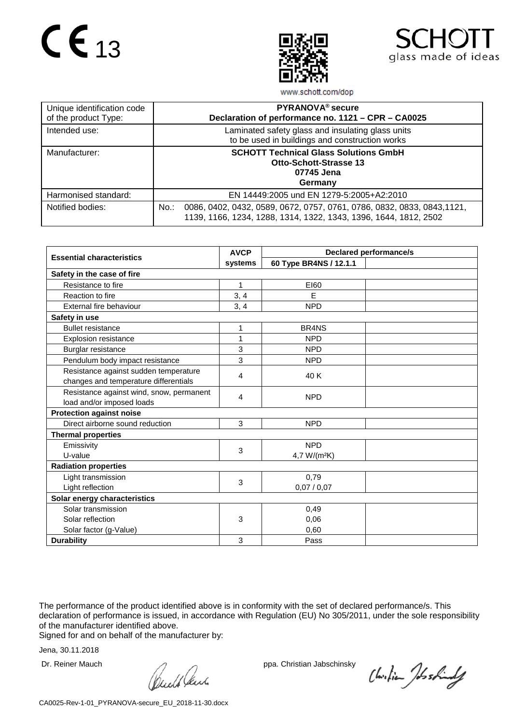



www.schott.com/dop

| Unique identification code<br>of the product Type: | PYRANOVA <sup>®</sup> secure<br>Declaration of performance no. 1121 - CPR - CA0025                                                                     |
|----------------------------------------------------|--------------------------------------------------------------------------------------------------------------------------------------------------------|
| Intended use:                                      | Laminated safety glass and insulating glass units<br>to be used in buildings and construction works                                                    |
| Manufacturer:                                      | <b>SCHOTT Technical Glass Solutions GmbH</b><br><b>Otto-Schott-Strasse 13</b><br>07745 Jena<br>Germany                                                 |
| Harmonised standard:                               | EN 14449:2005 und EN 1279-5:2005+A2:2010                                                                                                               |
| Notified bodies:                                   | 0086, 0402, 0432, 0589, 0672, 0757, 0761, 0786, 0832, 0833, 0843, 1121,<br>$No.$ :<br>1139, 1166, 1234, 1288, 1314, 1322, 1343, 1396, 1644, 1812, 2502 |

|                                          | <b>AVCP</b> | <b>Declared performance/s</b>  |  |  |
|------------------------------------------|-------------|--------------------------------|--|--|
| <b>Essential characteristics</b>         | systems     | 60 Type BR4NS / 12.1.1         |  |  |
| Safety in the case of fire               |             |                                |  |  |
| Resistance to fire                       | 1           | E160                           |  |  |
| Reaction to fire                         | 3, 4        | E                              |  |  |
| External fire behaviour                  | 3, 4        | <b>NPD</b>                     |  |  |
| Safety in use                            |             |                                |  |  |
| <b>Bullet resistance</b>                 | 1           | BR <sub>4</sub> N <sub>S</sub> |  |  |
| <b>Explosion resistance</b>              | 1           | <b>NPD</b>                     |  |  |
| Burglar resistance                       | 3           | <b>NPD</b>                     |  |  |
| Pendulum body impact resistance          | 3           | <b>NPD</b>                     |  |  |
| Resistance against sudden temperature    | 4           | 40 K                           |  |  |
| changes and temperature differentials    |             |                                |  |  |
| Resistance against wind, snow, permanent | 4           | <b>NPD</b>                     |  |  |
| load and/or imposed loads                |             |                                |  |  |
| <b>Protection against noise</b>          |             |                                |  |  |
| Direct airborne sound reduction          | 3           | <b>NPD</b>                     |  |  |
| <b>Thermal properties</b>                |             |                                |  |  |
| Emissivity                               | 3           | <b>NPD</b>                     |  |  |
| U-value                                  |             | 4,7 W/(m <sup>2</sup> K)       |  |  |
| <b>Radiation properties</b>              |             |                                |  |  |
| Light transmission                       | 3           | 0,79                           |  |  |
| Light reflection                         |             | 0,07/0,07                      |  |  |
| Solar energy characteristics             |             |                                |  |  |
| Solar transmission                       |             | 0,49                           |  |  |
| Solar reflection                         | 3           | 0,06                           |  |  |
| Solar factor (g-Value)                   |             | 0,60                           |  |  |
| <b>Durability</b>                        | 3           | Pass                           |  |  |

The performance of the product identified above is in conformity with the set of declared performance/s. This declaration of performance is issued, in accordance with Regulation (EU) No 305/2011, under the sole responsibility of the manufacturer identified above.

Signed for and on behalf of the manufacturer by:

Dr. Reiner Mauch ppa. Christian Jabschinsky<br>
ppa. Christian Jabschinsky<br>
ppa. Christian Jabschinsky

Christian Joshindy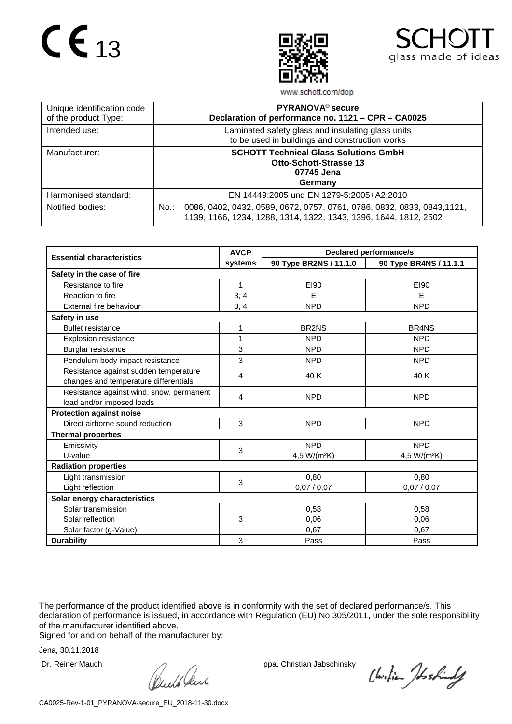



www.schott.com/dop

| Unique identification code<br>of the product Type: | PYRANOVA <sup>®</sup> secure<br>Declaration of performance no. 1121 - CPR - CA0025                                                                     |
|----------------------------------------------------|--------------------------------------------------------------------------------------------------------------------------------------------------------|
| Intended use:                                      | Laminated safety glass and insulating glass units<br>to be used in buildings and construction works                                                    |
| Manufacturer:                                      | <b>SCHOTT Technical Glass Solutions GmbH</b><br><b>Otto-Schott-Strasse 13</b><br>07745 Jena<br>Germany                                                 |
| Harmonised standard:                               | EN 14449:2005 und EN 1279-5:2005+A2:2010                                                                                                               |
| Notified bodies:                                   | 0086, 0402, 0432, 0589, 0672, 0757, 0761, 0786, 0832, 0833, 0843, 1121,<br>$No.$ :<br>1139, 1166, 1234, 1288, 1314, 1322, 1343, 1396, 1644, 1812, 2502 |

|                                          | <b>AVCP</b> |                                | <b>Declared performance/s</b>  |  |
|------------------------------------------|-------------|--------------------------------|--------------------------------|--|
| <b>Essential characteristics</b>         | systems     | 90 Type BR2NS / 11.1.0         | 90 Type BR4NS / 11.1.1         |  |
| Safety in the case of fire               |             |                                |                                |  |
| Resistance to fire                       | 1           | E190                           | E190                           |  |
| Reaction to fire                         | 3, 4        | E                              | E                              |  |
| External fire behaviour                  | 3, 4        | <b>NPD</b>                     | <b>NPD</b>                     |  |
| Safety in use                            |             |                                |                                |  |
| <b>Bullet resistance</b>                 | 1           | BR <sub>2</sub> N <sub>S</sub> | BR <sub>4</sub> N <sub>S</sub> |  |
| <b>Explosion resistance</b>              | 1           | <b>NPD</b>                     | <b>NPD</b>                     |  |
| Burglar resistance                       | 3           | <b>NPD</b>                     | <b>NPD</b>                     |  |
| Pendulum body impact resistance          | 3           | <b>NPD</b>                     | <b>NPD</b>                     |  |
| Resistance against sudden temperature    | 4           | 40 K                           | 40 K                           |  |
| changes and temperature differentials    |             |                                |                                |  |
| Resistance against wind, snow, permanent | 4           | <b>NPD</b>                     | <b>NPD</b>                     |  |
| load and/or imposed loads                |             |                                |                                |  |
| <b>Protection against noise</b>          |             |                                |                                |  |
| Direct airborne sound reduction          | 3           | <b>NPD</b>                     | <b>NPD</b>                     |  |
| <b>Thermal properties</b>                |             |                                |                                |  |
| Emissivity                               | 3           | <b>NPD</b>                     | <b>NPD</b>                     |  |
| U-value                                  |             | 4,5 W/(m <sup>2</sup> K)       | 4,5 W/(m <sup>2</sup> K)       |  |
| <b>Radiation properties</b>              |             |                                |                                |  |
| Light transmission                       | 3           | 0,80                           | 0,80                           |  |
| Light reflection                         |             | 0,07/0,07                      | 0,07/0,07                      |  |
| Solar energy characteristics             |             |                                |                                |  |
| Solar transmission                       |             | 0,58                           | 0,58                           |  |
| Solar reflection                         | 3           | 0,06                           | 0.06                           |  |
| Solar factor (g-Value)                   |             | 0,67                           | 0,67                           |  |
| <b>Durability</b>                        | 3           | Pass                           | Pass                           |  |

The performance of the product identified above is in conformity with the set of declared performance/s. This declaration of performance is issued, in accordance with Regulation (EU) No 305/2011, under the sole responsibility of the manufacturer identified above.

Signed for and on behalf of the manufacturer by:

Dr. Reiner Mauch ppa. Christian Jabschinsky<br>
ppa. Christian Jabschinsky<br>
ppa. Christian Jabschinsky

Christian Joshindy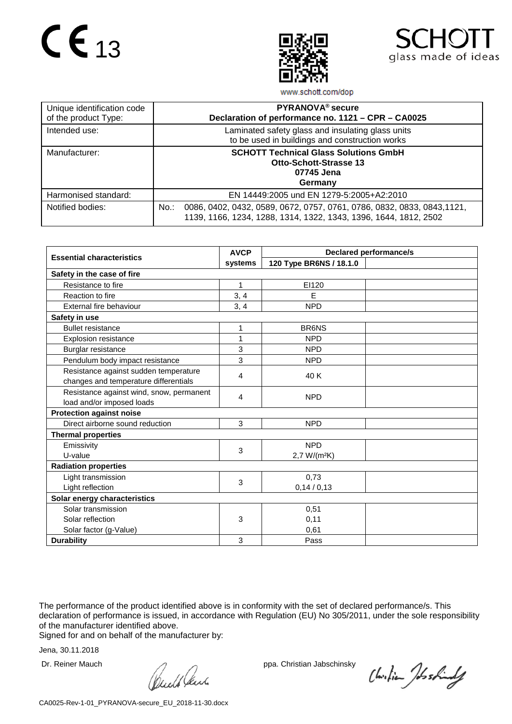



www.schott.com/dop

| Unique identification code<br>of the product Type: | PYRANOVA <sup>®</sup> secure<br>Declaration of performance no. 1121 - CPR - CA0025                                                                     |
|----------------------------------------------------|--------------------------------------------------------------------------------------------------------------------------------------------------------|
| Intended use:                                      | Laminated safety glass and insulating glass units<br>to be used in buildings and construction works                                                    |
| Manufacturer:                                      | <b>SCHOTT Technical Glass Solutions GmbH</b><br><b>Otto-Schott-Strasse 13</b><br>07745 Jena<br>Germany                                                 |
| Harmonised standard:                               | EN 14449:2005 und EN 1279-5:2005+A2:2010                                                                                                               |
| Notified bodies:                                   | 0086, 0402, 0432, 0589, 0672, 0757, 0761, 0786, 0832, 0833, 0843, 1121,<br>$No.$ :<br>1139, 1166, 1234, 1288, 1314, 1322, 1343, 1396, 1644, 1812, 2502 |

|                                          | <b>AVCP</b> |                          | <b>Declared performance/s</b> |  |
|------------------------------------------|-------------|--------------------------|-------------------------------|--|
| <b>Essential characteristics</b>         | systems     | 120 Type BR6NS / 18.1.0  |                               |  |
| Safety in the case of fire               |             |                          |                               |  |
| Resistance to fire                       | 1           | EI120                    |                               |  |
| Reaction to fire                         | 3, 4        | E                        |                               |  |
| External fire behaviour                  | 3, 4        | <b>NPD</b>               |                               |  |
| Safety in use                            |             |                          |                               |  |
| <b>Bullet resistance</b>                 | 1           | <b>BR6NS</b>             |                               |  |
| <b>Explosion resistance</b>              | 1           | <b>NPD</b>               |                               |  |
| Burglar resistance                       | 3           | <b>NPD</b>               |                               |  |
| Pendulum body impact resistance          | 3           | <b>NPD</b>               |                               |  |
| Resistance against sudden temperature    | 4           | 40 K                     |                               |  |
| changes and temperature differentials    |             |                          |                               |  |
| Resistance against wind, snow, permanent | 4           | <b>NPD</b>               |                               |  |
| load and/or imposed loads                |             |                          |                               |  |
| <b>Protection against noise</b>          |             |                          |                               |  |
| Direct airborne sound reduction          | 3           | <b>NPD</b>               |                               |  |
| <b>Thermal properties</b>                |             |                          |                               |  |
| Emissivity                               | 3           | <b>NPD</b>               |                               |  |
| U-value                                  |             | 2,7 W/(m <sup>2</sup> K) |                               |  |
| <b>Radiation properties</b>              |             |                          |                               |  |
| Light transmission                       | 3           | 0,73                     |                               |  |
| Light reflection                         |             | 0,14/0,13                |                               |  |
| Solar energy characteristics             |             |                          |                               |  |
| Solar transmission                       |             | 0,51                     |                               |  |
| Solar reflection                         | 3           | 0,11                     |                               |  |
| Solar factor (g-Value)                   |             | 0,61                     |                               |  |
| <b>Durability</b>                        | 3           | Pass                     |                               |  |

The performance of the product identified above is in conformity with the set of declared performance/s. This declaration of performance is issued, in accordance with Regulation (EU) No 305/2011, under the sole responsibility of the manufacturer identified above.

Signed for and on behalf of the manufacturer by:

Dr. Reiner Mauch ppa. Christian Jabschinsky<br>
ppa. Christian Jabschinsky<br>
ppa. Christian Jabschinsky

Christian Joshindy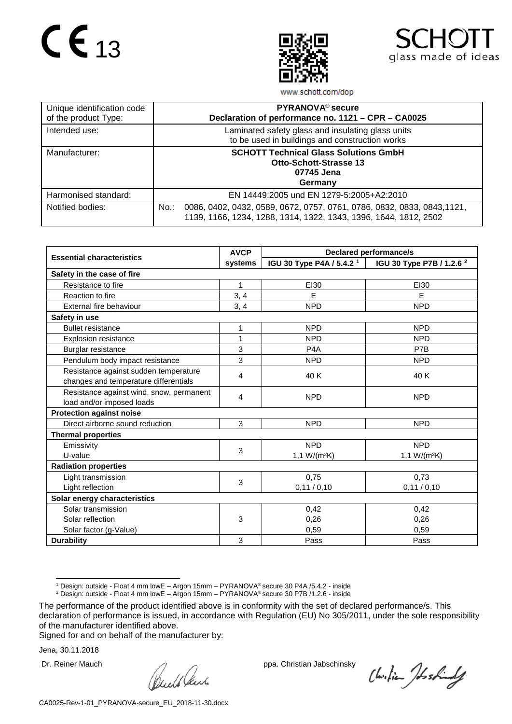



www.schott.com/dop

| Unique identification code<br>of the product Type: | PYRANOVA <sup>®</sup> secure<br>Declaration of performance no. 1121 - CPR - CA0025                                                                     |
|----------------------------------------------------|--------------------------------------------------------------------------------------------------------------------------------------------------------|
| Intended use:                                      | Laminated safety glass and insulating glass units<br>to be used in buildings and construction works                                                    |
| Manufacturer:                                      | <b>SCHOTT Technical Glass Solutions GmbH</b><br><b>Otto-Schott-Strasse 13</b><br>07745 Jena<br>Germany                                                 |
| Harmonised standard:                               | EN 14449:2005 und EN 1279-5:2005+A2:2010                                                                                                               |
| Notified bodies:                                   | 0086, 0402, 0432, 0589, 0672, 0757, 0761, 0786, 0832, 0833, 0843, 1121,<br>$No.$ :<br>1139, 1166, 1234, 1288, 1314, 1322, 1343, 1396, 1644, 1812, 2502 |

|                                          | <b>AVCP</b>  | <b>Declared performance/s</b>        |                                      |  |
|------------------------------------------|--------------|--------------------------------------|--------------------------------------|--|
| <b>Essential characteristics</b>         | systems      | IGU 30 Type P4A / 5.4.2 <sup>1</sup> | IGU 30 Type P7B / 1.2.6 <sup>2</sup> |  |
| Safety in the case of fire               |              |                                      |                                      |  |
| Resistance to fire                       | $\mathbf{1}$ | EI30                                 | EI30                                 |  |
| Reaction to fire                         | 3, 4         | E                                    | E                                    |  |
| External fire behaviour                  | 3, 4         | <b>NPD</b>                           | <b>NPD</b>                           |  |
| Safety in use                            |              |                                      |                                      |  |
| <b>Bullet resistance</b>                 | 1            | <b>NPD</b>                           | <b>NPD</b>                           |  |
| <b>Explosion resistance</b>              | 1            | <b>NPD</b>                           | <b>NPD</b>                           |  |
| Burglar resistance                       | 3            | P <sub>4</sub> A                     | P7B                                  |  |
| Pendulum body impact resistance          | 3            | <b>NPD</b>                           | <b>NPD</b>                           |  |
| Resistance against sudden temperature    | 4            | 40 K                                 | 40 K                                 |  |
| changes and temperature differentials    |              |                                      |                                      |  |
| Resistance against wind, snow, permanent | 4            | <b>NPD</b>                           | <b>NPD</b>                           |  |
| load and/or imposed loads                |              |                                      |                                      |  |
| <b>Protection against noise</b>          |              |                                      |                                      |  |
| Direct airborne sound reduction          | 3            | <b>NPD</b>                           | <b>NPD</b>                           |  |
| <b>Thermal properties</b>                |              |                                      |                                      |  |
| Emissivity                               | 3            | <b>NPD</b>                           | <b>NPD</b>                           |  |
| U-value                                  |              | 1,1 W/(m <sup>2</sup> K)             | 1,1 $W/(m^2K)$                       |  |
| <b>Radiation properties</b>              |              |                                      |                                      |  |
| Light transmission                       | 3            | 0,75                                 | 0,73                                 |  |
| Light reflection                         |              | 0,11/0,10                            | 0,11/0,10                            |  |
| Solar energy characteristics             |              |                                      |                                      |  |
| Solar transmission                       |              | 0,42                                 | 0,42                                 |  |
| Solar reflection                         | 3            | 0,26                                 | 0,26                                 |  |
| Solar factor (g-Value)                   |              | 0,59                                 | 0,59                                 |  |
| <b>Durability</b>                        | 3            | Pass                                 | Pass                                 |  |

 <sup>1</sup> Design: outside - Float <sup>4</sup> mm lowE – Argon 15mm – PYRANOVA® secure <sup>30</sup> P4A /5.4.2 - inside

Signed for and on behalf of the manufacturer by:

Dr. Reiner Mauch ppa. Christian Jabschinsky<br>
ppa. Christian Jabschinsky<br>
ppa. Christian Jabschinsky

Christian Joshindy

<sup>2</sup> Design: outside - Float 4 mm lowE – Argon 15mm – PYRANOVA® secure 30 P7B /1.2.6 - inside

<span id="page-15-1"></span><span id="page-15-0"></span>The performance of the product identified above is in conformity with the set of declared performance/s. This declaration of performance is issued, in accordance with Regulation (EU) No 305/2011, under the sole responsibility of the manufacturer identified above.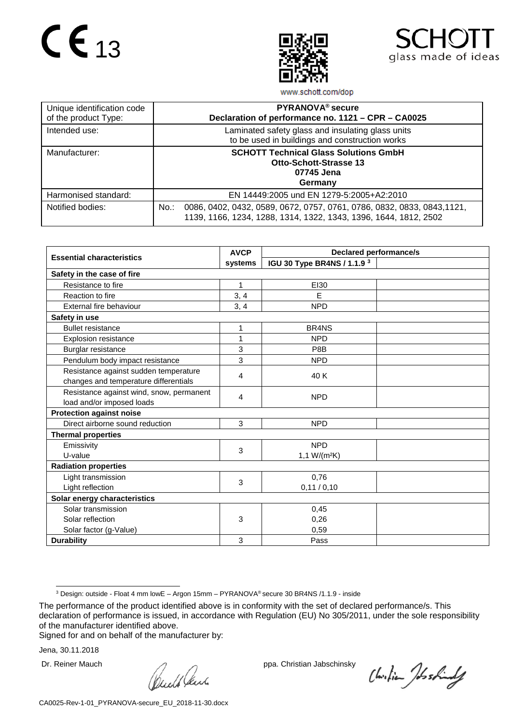# $CE_{13}$





www.schott.com/dop

| Unique identification code<br>of the product Type: | PYRANOVA <sup>®</sup> secure<br>Declaration of performance no. 1121 - CPR - CA0025                                                                     |
|----------------------------------------------------|--------------------------------------------------------------------------------------------------------------------------------------------------------|
| Intended use:                                      | Laminated safety glass and insulating glass units<br>to be used in buildings and construction works                                                    |
| Manufacturer:                                      | <b>SCHOTT Technical Glass Solutions GmbH</b><br><b>Otto-Schott-Strasse 13</b><br>07745 Jena<br>Germany                                                 |
| Harmonised standard:                               | EN 14449:2005 und EN 1279-5:2005+A2:2010                                                                                                               |
| Notified bodies:                                   | 0086, 0402, 0432, 0589, 0672, 0757, 0761, 0786, 0832, 0833, 0843, 1121,<br>$No.$ :<br>1139, 1166, 1234, 1288, 1314, 1322, 1343, 1396, 1644, 1812, 2502 |

|                                          | <b>AVCP</b> | <b>Declared performance/s</b> |  |  |
|------------------------------------------|-------------|-------------------------------|--|--|
| <b>Essential characteristics</b>         | systems     | IGU 30 Type BR4NS / 1.1.9 3   |  |  |
| Safety in the case of fire               |             |                               |  |  |
| Resistance to fire                       | 1           | EI30                          |  |  |
| Reaction to fire                         | 3, 4        | E                             |  |  |
| External fire behaviour                  | 3, 4        | <b>NPD</b>                    |  |  |
| Safety in use                            |             |                               |  |  |
| <b>Bullet resistance</b>                 | 1           | BR4NS                         |  |  |
| <b>Explosion resistance</b>              |             | <b>NPD</b>                    |  |  |
| Burglar resistance                       | 3           | P8B                           |  |  |
| Pendulum body impact resistance          | 3           | <b>NPD</b>                    |  |  |
| Resistance against sudden temperature    | 4           | 40 K                          |  |  |
| changes and temperature differentials    |             |                               |  |  |
| Resistance against wind, snow, permanent |             | <b>NPD</b>                    |  |  |
| load and/or imposed loads                | 4           |                               |  |  |
| <b>Protection against noise</b>          |             |                               |  |  |
| Direct airborne sound reduction          | 3           | <b>NPD</b>                    |  |  |
| <b>Thermal properties</b>                |             |                               |  |  |
| Emissivity                               | 3           | <b>NPD</b>                    |  |  |
| U-value                                  |             | 1,1 W/(m <sup>2</sup> K)      |  |  |
| <b>Radiation properties</b>              |             |                               |  |  |
| Light transmission                       | 3           | 0,76                          |  |  |
| Light reflection                         |             | 0,11/0,10                     |  |  |
| Solar energy characteristics             |             |                               |  |  |
| Solar transmission                       |             | 0,45                          |  |  |
| Solar reflection                         | 3           | 0,26                          |  |  |
| Solar factor (g-Value)                   |             | 0,59                          |  |  |
| <b>Durability</b>                        | 3           | Pass                          |  |  |

Signed for and on behalf of the manufacturer by:

Dr. Reiner Mauch ppa. Christian Jabschinsky<br>
ppa. Christian Jabschinsky<br>
ppa. Christian Jabschinsky

Christian Joshindy

 <sup>3</sup> Design: outside - Float <sup>4</sup> mm lowE – Argon 15mm – PYRANOVA® secure <sup>30</sup> BR4NS /1.1.9 - inside

<span id="page-16-0"></span>The performance of the product identified above is in conformity with the set of declared performance/s. This declaration of performance is issued, in accordance with Regulation (EU) No 305/2011, under the sole responsibility of the manufacturer identified above.